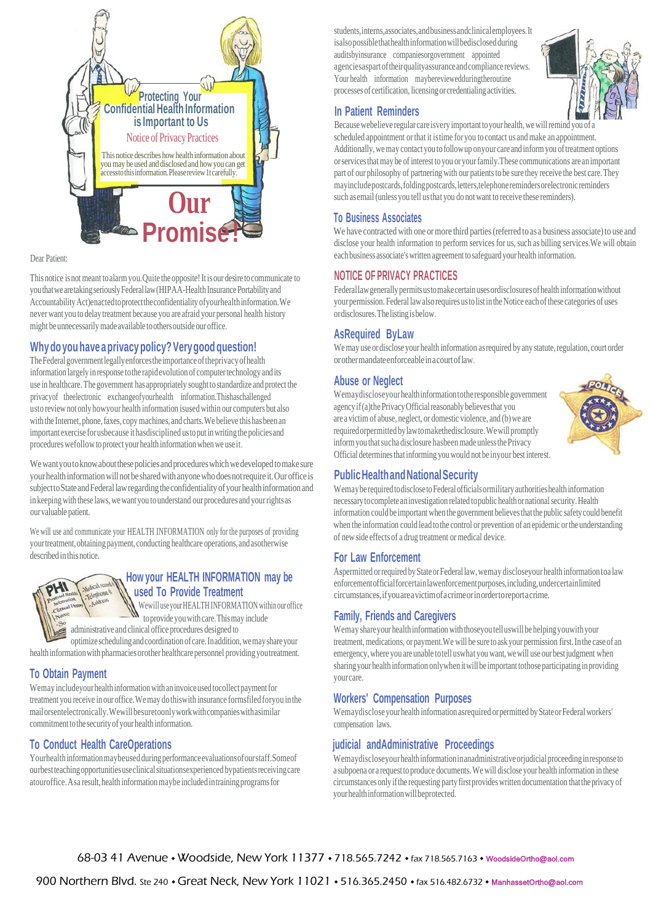

#### Dear Patient:

This notice is not meant to alarm you. Quite the opposite! It is our desire to communicate to you that we are taking seriously Federal law (HIPAA-Health Insurance Portability and AccountabilityAct)enactedtoprotecttheconfidentialityofyourhealthinformation.We neverwant you to delay treatment because you are afraid your personal health history might beunnecessarilymade available toothersoutside our office.

# **Whydo you have aprivacy policy?Verygood question!**

The Federal government legally enforces the importance of the privacy of health information largelyinresponse tothe rapidevolution of computertechnology andits use in healthcare.The government hasappropriately soughttostandardize and protect the privacyof theelectronic exchangeofyourhealth information.Thishaschallenged usto reviewnotonly howyour health information isused within our computers but also with the Internet, phone, faxes, copy machines, and charts. We believe this has been an important exercise for usbecause it has disciplined us to put in writing the policies and procedures wefollow to protect your health information when we use it.

We want you to know about these policies and procedures which we developed to make sure your healthinformationwillnot be sharedwithanyonewhodoesnotrequire it.Our office is subjecttoStateandFederallawregardingtheconfidentialityof yourhealthinformationand in keeping with these laws, we want you to understand our procedures and your rights as ourvaluable patient.

We will use and communicate your HEALTH INFORMATION only for the purposes of providing your treatment, obtaining payment, conducting healthcare operations, and asotherwise described in this notice.



# **How your HEALTH INFORMATION may be used To Provide Treatment**

Wewill use your HEALTH INFORMATION within our office to provide you with care. This may include administrative and clinical office procedures designed to

optimize schedulingandcoordination ofcare.Inaddition,wemayshareyour health information with pharmacies orother healthcare personnel providing youtreatment.

# **To Obtain Payment**

Wemay includeyour health information with an invoice used to collect payment for treatment you receive in ouroffice.Wemay dothiswith insurance formsfiled foryou inthe mailorsentelectronically.Wewillbesuretoonlyworkwithcompanieswithasimilar commitment to the security of your health information.

# **To Conduct Health CareOperations**

Yourhealthinformationmaybeusedduringperformanceevaluationsofourstaff.Someof ourbestteachingopportunitiesuseclinicalsituationsexperienced bypatientsreceivingcare atouroffice. As a result, health information may be included in training programs for

students,interns,associates,andbusinessandclinicalemployees.It isalso possible that health information will bedisclosed during auditsbyinsurance companiesorgovernment appointed agenciesaspartoftheirqualityassuranceandcompliance reviews. Your health information may bereviewed during the routine processes of certification, licensing orcredentialing activities.



#### **In Patient Reminders**

Because webelieve regular care isvery important to your health, we will remind you of a scheduled appointment orthat it istime for you tocontact us andmake an appointment. Additionally, we may contact you to follow up onyour care and inform you of treatment options orservicesthat may be of interest toyou oryourfamily.These communications are animportant part of our philosophy of partnering with our patients to be sure they receive the best care. They mayincludepostcards,foldingpostcards,letters,telephoneremindersorelectronicreminders such asemail (unlessyou tell usthat you do not want to receive these reminders).

## **To Business Associates**

We have contracted with one or more third parties (referred to as a business associate) to use and disclose your health information to perform services for us, such as billing services.We will obtain eachbusiness associate'swritten agreement tosafeguardyourhealth information.

## **NOTICE OF PRIVACY PRACTICES**

Federal law generally permits us to make certain uses ordisclosures of health information without yourpermission. Federal lawalsorequiresustolistintheNotice eachofthese categories of uses ordisclosures.Thelistingisbelow.

# **AsRequired ByLaw**

We may use or disclose your health information as required by any statute, regulation, court order orothermandateenforceableinacourtoflaw.

## **Abuse or Neglect**

Wemaydiscloseyourhealthinformationtothe responsible government agency if (a) the Privacy Official reasonably believes that you are a victim of abuse, neglect, or domestic violence, and (b) we are requiredorpermittedbylawtomakethedisclosure.Wewillpromptly informyouthatsucha disclosure hasbeen made unlessthePrivacy Official determinesthatinforming youwould notbe inyour best interest.



# **PublicHealthandNationalSecurity**

Wemay be required to disclose to Federal officials or military authorities health information necessary to complete an investigation related to public health or national security. Health information could be important when the government believes that the public safety could benefit when the information could lead tothe control or prevention of anepidemic orthe understanding of new side effects of a drug treatment ormedical device.

## **For Law Enforcement**

Aspermitted or required by State or Federal law, we may disclosey our health information toa law enforcementofficialforcertainlawenforcementpurposes,including,undercertainlimited circumstances,ifyouareavictimofacrimeorinordertoreportacrime.

# **Family, Friends and Caregivers**

Wemay share your health information with thoseyou tell uswill be helping youwith your treatment, medications, or payment. We will be sure to ask your permission first. In the case of an emergency, where you are unable totell uswhat you want, we will use our best judgment when sharing your health information onlywhen it will be important tothose participating in providing yourcare.

## **Workers' Compensation Purposes**

Wemaydisclose your health information asrequired or permitted by State or Federal workers' compensation laws.

# **judicial andAdministrative Proceedings**

Wemaydiscloseyourhealthinformationinanadministrativeorjudicialproceedinginresponse to a subpoena or a requesttoproduce documents.Wewill disclose your health information inthese circumstances onlyifthe requesting partyfirstprovideswrittendocumentation thattheprivacyof yourhealthinformationwillbeprotected.

68-03 41 Avenue • Woodside, New York 11377 • 718.565.7242 • fax 718.565.7163 • WoodsideOrtho@aol.com

900 Northern Blvd. Ste 240 • Great Neck, New York 11021 • 516.365.2450 • fax 516.482.6732 • [ManhassetOrtho@aol.com](mailto:ManhassetOrtho@aol.com)